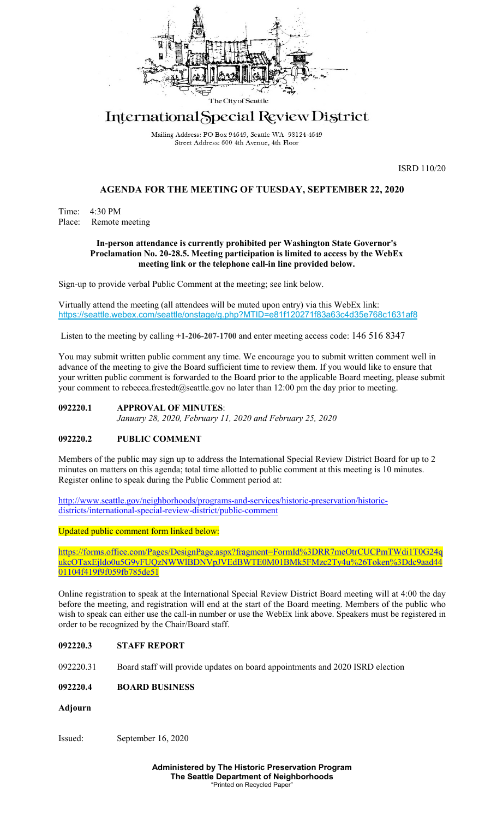

# International Special Review District

Mailing Address: PO Box 94649, Seattle WA 98124-4649 Street Address: 600 4th Avenue, 4th Floor

ISRD 110/20

## **AGENDA FOR THE MEETING OF TUESDAY, SEPTEMBER 22, 2020**

Time: 4:30 PM Place: Remote meeting

#### **In-person attendance is currently prohibited per Washington State Governor's Proclamation No. 20-28.5. Meeting participation is limited to access by the WebEx meeting link or the telephone call-in line provided below.**

Sign-up to provide verbal Public Comment at the meeting; see link below.

Virtually attend the meeting (all attendees will be muted upon entry) via this WebEx link: <https://seattle.webex.com/seattle/onstage/g.php?MTID=e81f120271f83a63c4d35e768c1631af8>

Listen to the meeting by calling **+1-206-207-1700** and enter meeting access code: 146 516 8347

You may submit written public comment any time. We encourage you to submit written comment well in advance of the meeting to give the Board sufficient time to review them. If you would like to ensure that your written public comment is forwarded to the Board prior to the applicable Board meeting, please submit your comment to rebecca.frestedt@seattle.gov no later than 12:00 pm the day prior to meeting.

#### **092220.1 APPROVAL OF MINUTES**:

*January 28, 2020, February 11, 2020 and February 25, 2020*

## **092220.2 PUBLIC COMMENT**

Members of the public may sign up to address the International Special Review District Board for up to 2 minutes on matters on this agenda; total time allotted to public comment at this meeting is 10 minutes. Register online to speak during the Public Comment period at:

[http://www.seattle.gov/neighborhoods/programs-and-services/historic-preservation/historic](http://www.seattle.gov/neighborhoods/programs-and-services/historic-preservation/historic-districts/international-special-review-district/public-comment)[districts/international-special-review-district/public-comment](http://www.seattle.gov/neighborhoods/programs-and-services/historic-preservation/historic-districts/international-special-review-district/public-comment)

Updated public comment form linked below:

[https://forms.office.com/Pages/DesignPage.aspx?fragment=FormId%3DRR7meOtrCUCPmTWdi1T0G24q](https://forms.office.com/Pages/DesignPage.aspx?fragment=FormId%3DRR7meOtrCUCPmTWdi1T0G24qukcOTaxEjldo0u5G9yFUQzNWWlBDNVpJVEdBWTE0M01BMk5FMzc2Ty4u%26Token%3Ddc9aad4401104f419f9f059fb785de51) [ukcOTaxEjldo0u5G9yFUQzNWWlBDNVpJVEdBWTE0M01BMk5FMzc2Ty4u%26Token%3Ddc9aad44](https://forms.office.com/Pages/DesignPage.aspx?fragment=FormId%3DRR7meOtrCUCPmTWdi1T0G24qukcOTaxEjldo0u5G9yFUQzNWWlBDNVpJVEdBWTE0M01BMk5FMzc2Ty4u%26Token%3Ddc9aad4401104f419f9f059fb785de51) [01104f419f9f059fb785de51](https://forms.office.com/Pages/DesignPage.aspx?fragment=FormId%3DRR7meOtrCUCPmTWdi1T0G24qukcOTaxEjldo0u5G9yFUQzNWWlBDNVpJVEdBWTE0M01BMk5FMzc2Ty4u%26Token%3Ddc9aad4401104f419f9f059fb785de51)

Online registration to speak at the International Special Review District Board meeting will at 4:00 the day before the meeting, and registration will end at the start of the Board meeting. Members of the public who wish to speak can either use the call-in number or use the WebEx link above. Speakers must be registered in order to be recognized by the Chair/Board staff.

## **092220.3 STAFF REPORT**

092220.31 Board staff will provide updates on board appointments and 2020 ISRD election

## **092220.4 BOARD BUSINESS**

**Adjourn** 

Issued: September 16, 2020